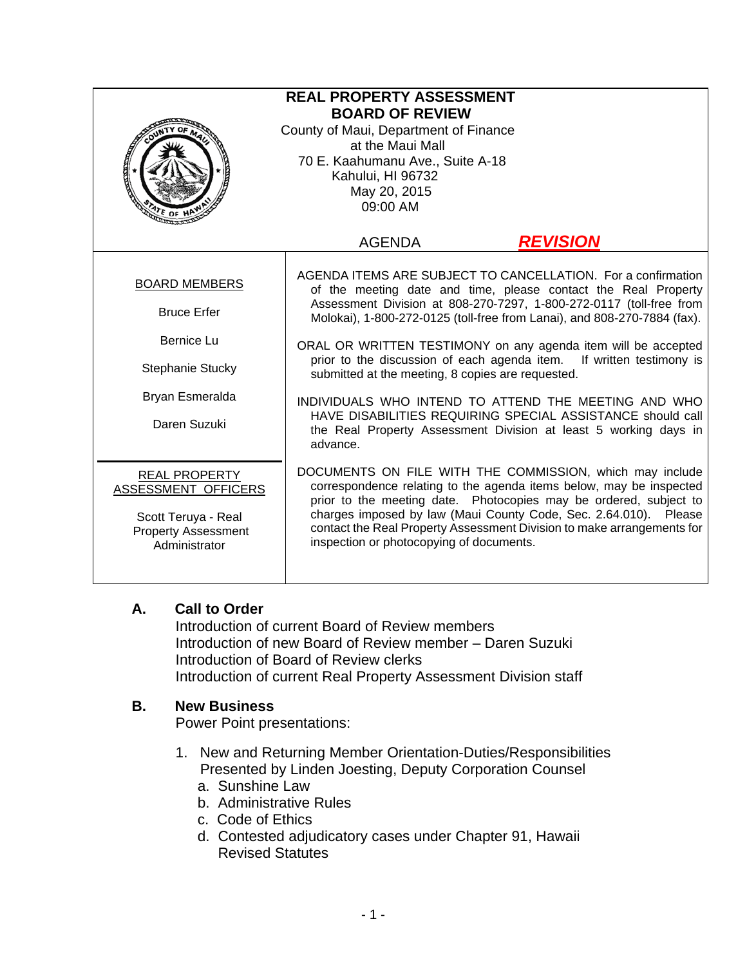| <b>REAL PROPERTY ASSESSMENT</b><br><b>BOARD OF REVIEW</b><br>County of Maui, Department of Finance<br>at the Maui Mall<br>70 E. Kaahumanu Ave., Suite A-18<br>Kahului, HI 96732<br>May 20, 2015<br>09:00 AM |                                                                                                                                                                                                                                                                                                                                                                                                                                                                                                                                                                                                                                                                                       |
|-------------------------------------------------------------------------------------------------------------------------------------------------------------------------------------------------------------|---------------------------------------------------------------------------------------------------------------------------------------------------------------------------------------------------------------------------------------------------------------------------------------------------------------------------------------------------------------------------------------------------------------------------------------------------------------------------------------------------------------------------------------------------------------------------------------------------------------------------------------------------------------------------------------|
|                                                                                                                                                                                                             | <b>REVISION</b><br><b>AGENDA</b>                                                                                                                                                                                                                                                                                                                                                                                                                                                                                                                                                                                                                                                      |
| <b>BOARD MEMBERS</b><br><b>Bruce Erfer</b><br><b>Bernice Lu</b><br>Stephanie Stucky<br>Bryan Esmeralda<br>Daren Suzuki                                                                                      | AGENDA ITEMS ARE SUBJECT TO CANCELLATION. For a confirmation<br>of the meeting date and time, please contact the Real Property<br>Assessment Division at 808-270-7297, 1-800-272-0117 (toll-free from<br>Molokai), 1-800-272-0125 (toll-free from Lanai), and 808-270-7884 (fax).<br>ORAL OR WRITTEN TESTIMONY on any agenda item will be accepted<br>prior to the discussion of each agenda item. If written testimony is<br>submitted at the meeting, 8 copies are requested.<br>INDIVIDUALS WHO INTEND TO ATTEND THE MEETING AND WHO<br>HAVE DISABILITIES REQUIRING SPECIAL ASSISTANCE should call<br>the Real Property Assessment Division at least 5 working days in<br>advance. |
| <b>REAL PROPERTY</b><br>ASSESSMENT OFFICERS<br>Scott Teruya - Real<br><b>Property Assessment</b><br>Administrator                                                                                           | DOCUMENTS ON FILE WITH THE COMMISSION, which may include<br>correspondence relating to the agenda items below, may be inspected<br>prior to the meeting date. Photocopies may be ordered, subject to<br>charges imposed by law (Maui County Code, Sec. 2.64.010). Please<br>contact the Real Property Assessment Division to make arrangements for<br>inspection or photocopying of documents.                                                                                                                                                                                                                                                                                        |

## **A. Call to Order**

Introduction of current Board of Review members Introduction of new Board of Review member – Daren Suzuki Introduction of Board of Review clerks Introduction of current Real Property Assessment Division staff

## **B. New Business**

Power Point presentations:

- 1. New and Returning Member Orientation-Duties/Responsibilities Presented by Linden Joesting, Deputy Corporation Counsel
	- a. Sunshine Law
	- b. Administrative Rules
	- c. Code of Ethics
	- d. Contested adjudicatory cases under Chapter 91, Hawaii Revised Statutes